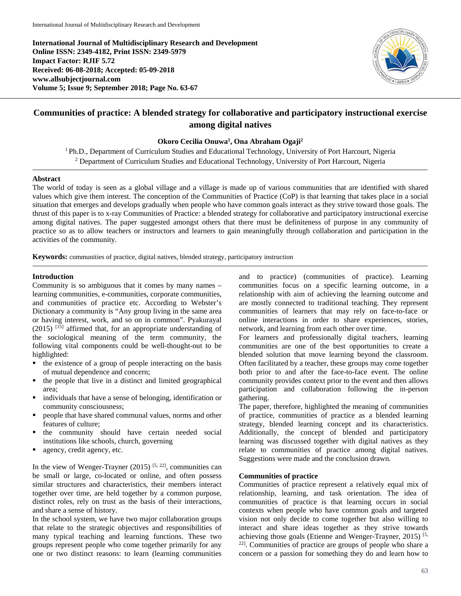**International Journal of Multidisciplinary Research and Development Online ISSN: 2349-4182, Print ISSN: 2349-5979 Impact Factor: RJIF 5.72 Received: 06-08-2018; Accepted: 05-09-2018 www.allsubjectjournal.com Volume 5; Issue 9; September 2018; Page No. 63-67**



# **Communities of practice: A blended strategy for collaborative and participatory instructional exercise among digital natives**

## **Okoro Cecilia Onuwa1 , Ona Abraham Ogaji2**

<sup>1</sup> Ph.D., Department of Curriculum Studies and Educational Technology, University of Port Harcourt, Nigeria <sup>2</sup> Department of Curriculum Studies and Educational Technology, University of Port Harcourt, Nigeria

#### **Abstract**

The world of today is seen as a global village and a village is made up of various communities that are identified with shared values which give them interest. The conception of the Communities of Practice (CoP) is that learning that takes place in a social situation that emerges and develops gradually when people who have common goals interact as they strive toward those goals. The thrust of this paper is to x-ray Communities of Practice: a blended strategy for collaborative and participatory instructional exercise among digital natives. The paper suggested amongst others that there must be definiteness of purpose in any community of practice so as to allow teachers or instructors and learners to gain meaningfully through collaboration and participation in the activities of the community.

**Keywords:** communities of practice, digital natives, blended strategy, participatory instruction

## **Introduction**

Community is so ambiguous that it comes by many names – learning communities, e-communities, corporate communities, and communities of practice etc. According to Webster's Dictionary a community is "Any group living in the same area or having interest, work, and so on in common". Pyakurayal  $(2015)$  <sup>[15]</sup> affirmed that, for an appropriate understanding of the sociological meaning of the term community, the following vital components could be well-thought-out to be highlighted:

- $\blacksquare$  the existence of a group of people interacting on the basis of mutual dependence and concern;
- the people that live in a distinct and limited geographical area;
- individuals that have a sense of belonging, identification or community consciousness;
- people that have shared communal values, norms and other features of culture;
- the community should have certain needed social institutions like schools, church, governing
- agency, credit agency, etc.

In the view of Wenger-Trayner  $(2015)$  [5, 22], communities can be small or large, co-located or online, and often possess similar structures and characteristics, their members interact together over time, are held together by a common purpose, distinct roles, rely on trust as the basis of their interactions, and share a sense of history.

In the school system, we have two major collaboration groups that relate to the strategic objectives and responsibilities of many typical teaching and learning functions. These two groups represent people who come together primarily for any one or two distinct reasons: to learn (learning communities and to practice) (communities of practice). Learning communities focus on a specific learning outcome, in a relationship with aim of achieving the learning outcome and are mostly connected to traditional teaching. They represent communities of learners that may rely on face-to-face or online interactions in order to share experiences, stories, network, and learning from each other over time.

For learners and professionally digital teachers, learning communities are one of the best opportunities to create a blended solution that move learning beyond the classroom. Often facilitated by a teacher, these groups may come together both prior to and after the face-to-face event. The online community provides context prior to the event and then allows participation and collaboration following the in-person gathering.

The paper, therefore, highlighted the meaning of communities of practice, communities of practice as a blended learning strategy, blended learning concept and its characteristics. Additionally, the concept of blended and participatory learning was discussed together with digital natives as they relate to communities of practice among digital natives. Suggestions were made and the conclusion drawn.

#### **Communities of practice**

Communities of practice represent a relatively equal mix of relationship, learning, and task orientation. The idea of communities of practice is that learning occurs in social contexts when people who have common goals and targeted vision not only decide to come together but also willing to interact and share ideas together as they strive towards achieving those goals (Etienne and Wenger-Trayner, 2015) [5, 22]. Communities of practice are groups of people who share a concern or a passion for something they do and learn how to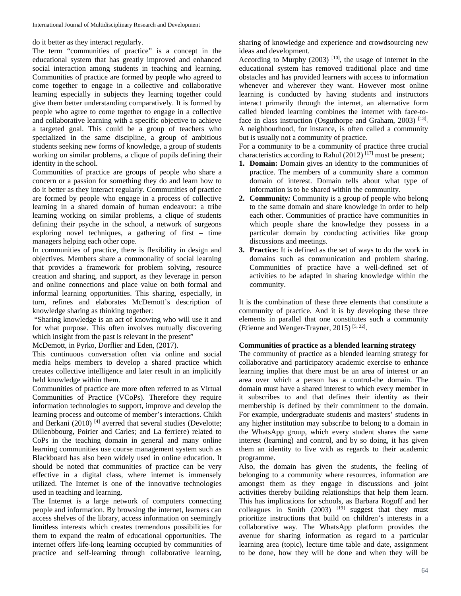do it better as they interact regularly.

The term "communities of practice" is a concept in the educational system that has greatly improved and enhanced social interaction among students in teaching and learning. Communities of practice are formed by people who agreed to come together to engage in a collective and collaborative learning especially in subjects they learning together could give them better understanding comparatively. It is formed by people who agree to come together to engage in a collective and collaborative learning with a specific objective to achieve a targeted goal. This could be a group of teachers who specialized in the same discipline, a group of ambitious students seeking new forms of knowledge, a group of students working on similar problems, a clique of pupils defining their identity in the school.

Communities of practice are groups of people who share a concern or a passion for something they do and learn how to do it better as they interact regularly. Communities of practice are formed by people who engage in a process of collective learning in a shared domain of human endeavour: a tribe learning working on similar problems, a clique of students defining their psyche in the school, a network of surgeons exploring novel techniques, a gathering of first – time managers helping each other cope.

In communities of practice, there is flexibility in design and objectives. Members share a commonality of social learning that provides a framework for problem solving, resource creation and sharing, and support, as they leverage in person and online connections and place value on both formal and informal learning opportunities. This sharing, especially, in turn, refines and elaborates McDemott's description of knowledge sharing as thinking together:

"Sharing knowledge is an act of knowing who will use it and for what purpose. This often involves mutually discovering which insight from the past is relevant in the present"

McDemott, in Pyrko, Dorflier and Eden, (2017).

This continuous conversation often via online and social media helps members to develop a shared practice which creates collective intelligence and later result in an implicitly held knowledge within them.

Communities of practice are more often referred to as Virtual Communities of Practice (VCoPs). Therefore they require information technologies to support, improve and develop the learning process and outcome of member's interactions. Chikh and Berkani  $(2010)$ <sup>[4]</sup> averred that several studies (Develotte; Dillenbbourg, Poirier and Carles; and La ferriere) related to CoPs in the teaching domain in general and many online learning communities use course management system such as Blackboard has also been widely used in online education. It should be noted that communities of practice can be very effective in a digital class, where internet is immensely utilized. The Internet is one of the innovative technologies used in teaching and learning.

The Internet is a large network of computers connecting people and information. By browsing the internet, learners can access shelves of the library, access information on seemingly limitless interests which creates tremendous possibilities for them to expand the realm of educational opportunities. The internet offers life-long learning occupied by communities of practice and self-learning through collaborative learning,

sharing of knowledge and experience and crowdsourcing new ideas and development.

According to Murphy  $(2003)$  [10], the usage of internet in the educational system has removed traditional place and time obstacles and has provided learners with access to information whenever and wherever they want. However most online learning is conducted by having students and instructors interact primarily through the internet, an alternative form called blended learning combines the internet with face-toface in class instruction (Osguthorpe and Graham, 2003)<sup>[13]</sup>. A neighbourhood, for instance, is often called a community but is usually not a community of practice.

For a community to be a community of practice three crucial characteristics according to Rahul  $(2012)^{[17]}$  must be present;

- **1. Domain:** Domain gives an identity to the communities of practice. The members of a community share a common domain of interest. Domain tells about what type of information is to be shared within the community.
- **2. Community***:* Community is a group of people who belong to the same domain and share knowledge in order to help each other. Communities of practice have communities in which people share the knowledge they possess in a particular domain by conducting activities like group discussions and meetings.
- **3. Practice:** It is defined as the set of ways to do the work in domains such as communication and problem sharing. Communities of practice have a well-defined set of activities to be adapted in sharing knowledge within the community.

It is the combination of these three elements that constitute a community of practice. And it is by developing these three elements in parallel that one constitutes such a community (Etienne and Wenger-Trayner, 2015) [5, 22].

# **Communities of practice as a blended learning strategy**

The community of practice as a blended learning strategy for collaborative and participatory academic exercise to enhance learning implies that there must be an area of interest or an area over which a person has a control-the domain. The domain must have a shared interest to which every member in it subscribes to and that defines their identity as their membership is defined by their commitment to the domain. For example, undergraduate students and masters' students in any higher institution may subscribe to belong to a domain in the WhatsApp group, which every student shares the same interest (learning) and control, and by so doing, it has given them an identity to live with as regards to their academic programme.

Also, the domain has given the students, the feeling of belonging to a community where resources, information are amongst them as they engage in discussions and joint activities thereby building relationships that help them learn. This has implications for schools, as Barbara Rogoff and her colleagues in Smith  $(2003)$  <sup>[19]</sup> suggest that they must prioritize instructions that build on children's interests in a collaborative way. The WhatsApp platform provides the avenue for sharing information as regard to a particular learning area (topic), lecture time table and date, assignment to be done, how they will be done and when they will be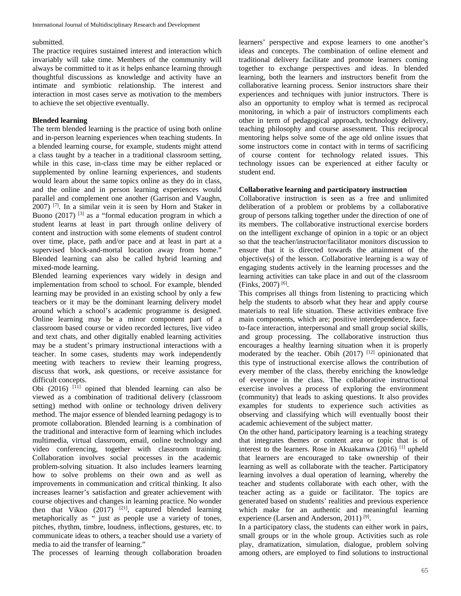#### submitted.

The practice requires sustained interest and interaction which invariably will take time. Members of the community will always be committed to it as it helps enhance learning through thoughtful discussions as knowledge and activity have an intimate and symbiotic relationship. The interest and interaction in most cases serve as motivation to the members to achieve the set objective eventually.

#### **Blended learning**

The term blended learning is the practice of using both online and in-person learning experiences when teaching students. In a blended learning course, for example, students might attend a class taught by a teacher in a traditional classroom setting, while in this case, in-class time may be either replaced or supplemented by online learning experiences, and students would learn about the same topics online as they do in class, and the online and in person learning experiences would parallel and complement one another (Garrison and Vaughn,  $2007$ ) <sup>[7]</sup>. In a similar vein it is seen by Horn and Staker in Buono  $(2017)$  <sup>[3]</sup> as a "formal education program in which a student learns at least in part through online delivery of content and instruction with some elements of student control over time, place, path and/or pace and at least in part at a supervised block-and-mortal location away from home." Blended learning can also be called hybrid learning and mixed-mode learning.

Blended learning experiences vary widely in design and implementation from school to school. For example, blended learning may be provided in an existing school by only a few teachers or it may be the dominant learning delivery model around which a school's academic programme is designed. Online learning may be a minor component part of a classroom based course or video recorded lectures, live video and text chats, and other digitally enabled learning activities may be a student's primary instructional interactions with a teacher. In some cases, students may work independently meeting with teachers to review their learning progress, discuss that work, ask questions, or receive assistance for difficult concepts.

Obi  $(2016)$  <sup>[11]</sup> opined that blended learning can also be viewed as a combination of traditional delivery (classroom setting) method with online or technology driven delivery method. The major essence of blended learning pedagogy is to promote collaboration. Blended learning is a combination of the traditional and interactive form of learning which includes multimedia, virtual classroom, email, online technology and video conferencing, together with classroom training. Collaboration involves social processes in the academic problem-solving situation. It also includes learners learning how to solve problems on their own and as well as improvements in communication and critical thinking. It also increases learner's satisfaction and greater achievement with course objectives and changes in learning practice. No wonder then that Vikoo  $(2017)$ <sup>[21]</sup>, captured blended learning metaphorically as " just as people use a variety of tones, pitches, rhythm, timbre, loudness, inflections, gestures, etc. to communicate ideas to others, a teacher should use a variety of media to aid the transfer of learning."

The processes of learning through collaboration broaden

learners' perspective and expose learners to one another's ideas and concepts. The combination of online element and traditional delivery facilitate and promote learners coming together to exchange perspectives and ideas. In blended learning, both the learners and instructors benefit from the collaborative learning process. Senior instructors share their experiences and techniques with junior instructors. There is also an opportunity to employ what is termed as reciprocal monitoring, in which a pair of instructors compliments each other in term of pedagogical approach, technology delivery, teaching philosophy and course assessment. This reciprocal mentoring helps solve some of the age old online issues that some instructors come in contact with in terms of sacrificing of course content for technology related issues. This technology issues can be experienced at either faculty or student end.

#### **Collaborative learning and participatory instruction**

Collaborative instruction is seen as a free and unlimited deliberation of a problem or problems by a collaborative group of persons talking together under the direction of one of its members. The collaborative instructional exercise borders on the intelligent exchange of opinion in a topic or an object so that the teacher/instructor/facilitator monitors discussion to ensure that it is directed towards the attainment of the objective(s) of the lesson. Collaborative learning is a way of engaging students actively in the learning processes and the learning activities can take place in and out of the classroom (Finks, 2007) [6].

This comprises all things from listening to practicing which help the students to absorb what they hear and apply course materials to real life situation. These activities embrace five main components, which are; positive interdependence, faceto-face interaction, interpersonal and small group social skills, and group processing. The collaborative instruction thus encourages a healthy learning situation when it is properly moderated by the teacher. Obih  $(2017)$  <sup>[12]</sup> opinionated that this type of instructional exercise allows the contribution of every member of the class, thereby enriching the knowledge of everyone in the class. The collaborative instructional exercise involves a process of exploring the environment (community) that leads to asking questions. It also provides examples for students to experience such activities as observing and classifying which will eventually boost their academic achievement of the subject matter.

On the other hand, participatory learning is a teaching strategy that integrates themes or content area or topic that is of interest to the learners. Rose in Akuakanwa (2016) [1] upheld that learners are encouraged to take ownership of their learning as well as collaborate with the teacher. Participatory learning involves a dual operation of learning, whereby the teacher and students collaborate with each other, with the teacher acting as a guide or facilitator. The topics are generated based on students' realities and previous experience which make for an authentic and meaningful learning experience (Larsen and Anderson, 2011)<sup>[9]</sup>.

In a participatory class, the students can either work in pairs, small groups or in the whole group. Activities such as role play, dramatization, simulation, dialogue, problem solving among others, are employed to find solutions to instructional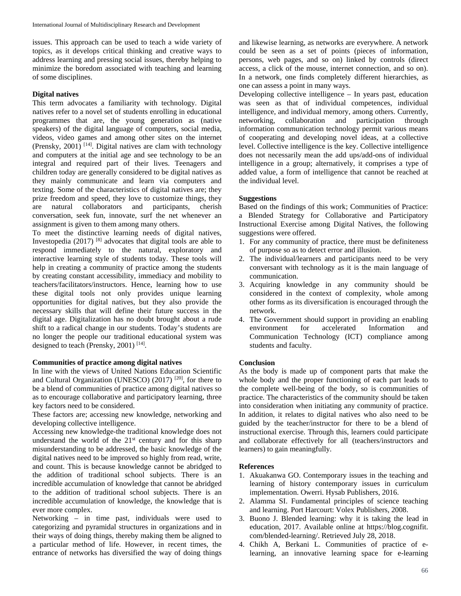issues. This approach can be used to teach a wide variety of topics, as it develops critical thinking and creative ways to address learning and pressing social issues, thereby helping to minimize the boredom associated with teaching and learning of some disciplines.

## **Digital natives**

This term advocates a familiarity with technology. Digital natives refer to a novel set of students enrolling in educational programmes that are, the young generation as (native speakers) of the digital language of computers, social media, videos, video games and among other sites on the internet (Prensky, 2001)  $[14]$ . Digital natives are clam with technology and computers at the initial age and see technology to be an integral and required part of their lives. Teenagers and children today are generally considered to be digital natives as they mainly communicate and learn via computers and texting. Some of the characteristics of digital natives are; they prize freedom and speed, they love to customize things, they are natural collaborators and participants, cherish conversation, seek fun, innovate, surf the net whenever an assignment is given to them among many others.

To meet the distinctive learning needs of digital natives, Investopedia  $(2017)$ <sup>[8]</sup> advocates that digital tools are able to respond immediately to the natural, exploratory and interactive learning style of students today. These tools will help in creating a community of practice among the students by creating constant accessibility, immediacy and mobility to teachers/facilitators/instructors. Hence, learning how to use these digital tools not only provides unique learning opportunities for digital natives, but they also provide the necessary skills that will define their future success in the digital age. Digitalization has no doubt brought about a rude shift to a radical change in our students. Today's students are no longer the people our traditional educational system was designed to teach (Prensky, 2001)<sup>[14]</sup>.

#### **Communities of practice among digital natives**

In line with the views of United Nations Education Scientific and Cultural Organization (UNESCO) (2017) [20], for there to be a blend of communities of practice among digital natives so as to encourage collaborative and participatory learning, three key factors need to be considered.

These factors are; accessing new knowledge, networking and developing collective intelligence.

Accessing new knowledge*-*the traditional knowledge does not understand the world of the  $21<sup>st</sup>$  century and for this sharp misunderstanding to be addressed, the basic knowledge of the digital natives need to be improved so highly from read, write, and count. This is because knowledge cannot be abridged to the addition of traditional school subjects. There is an incredible accumulation of knowledge that cannot be abridged to the addition of traditional school subjects. There is an incredible accumulation of knowledge, the knowledge that is ever more complex.

Networking *–* in time past, individuals were used to categorizing and pyramidal structures in organizations and in their ways of doing things, thereby making them be aligned to a particular method of life. However, in recent times, the entrance of networks has diversified the way of doing things

and likewise learning, as networks are everywhere. A network could be seen as a set of points (pieces of information, persons, web pages, and so on) linked by controls (direct access, a click of the mouse, internet connection, and so on). In a network, one finds completely different hierarchies, as one can assess a point in many ways.

Developing collective intelligence *–* In years past, education was seen as that of individual competences, individual intelligence, and individual memory, among others. Currently, networking, collaboration and participation through information communication technology permit various means of cooperating and developing novel ideas, at a collective level. Collective intelligence is the key. Collective intelligence does not necessarily mean the add ups/add-ons of individual intelligence in a group; alternatively, it comprises a type of added value, a form of intelligence that cannot be reached at the individual level.

#### **Suggestions**

Based on the findings of this work; Communities of Practice: a Blended Strategy for Collaborative and Participatory Instructional Exercise among Digital Natives, the following suggestions were offered.

- 1. For any community of practice, there must be definiteness of purpose so as to detect error and illusion.
- 2. The individual/learners and participants need to be very conversant with technology as it is the main language of communication.
- 3. Acquiring knowledge in any community should be considered in the context of complexity, whole among other forms as its diversification is encouraged through the network.
- 4. The Government should support in providing an enabling environment for accelerated Information and Communication Technology (ICT) compliance among students and faculty.

#### **Conclusion**

As the body is made up of component parts that make the whole body and the proper functioning of each part leads to the complete well-being of the body, so is communities of practice. The characteristics of the community should be taken into consideration when initiating any community of practice. In addition, it relates to digital natives who also need to be guided by the teacher/instructor for there to be a blend of instructional exercise. Through this, learners could participate and collaborate effectively for all (teachers/instructors and learners) to gain meaningfully.

#### **References**

- 1. Akuakanwa GO. Contemporary issues in the teaching and learning of history contemporary issues in curriculum implementation. Owerri. Hysab Publishers, 2016.
- 2. Alamma SI. Fundamental principles of science teaching and learning. Port Harcourt: Volex Publishers, 2008.
- 3. Buono J. Blended learning: why it is taking the lead in education, 2017. Available online at https://blog.cognifit. com/blended-learning/. Retrieved July 28, 2018.
- 4. Chikh A, Berkani L. Communities of practice of elearning, an innovative learning space for e-learning